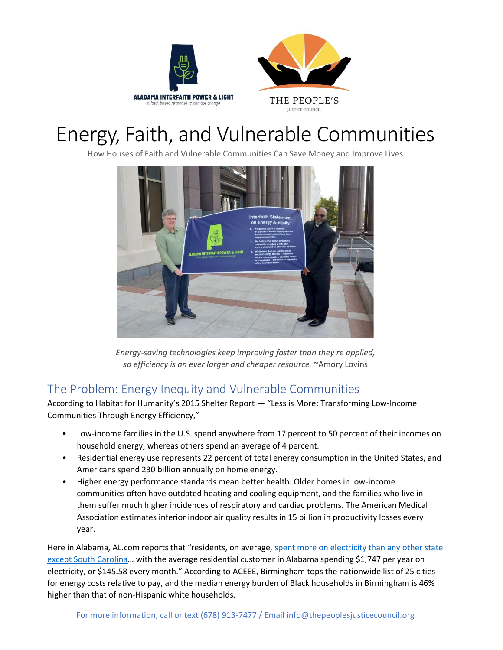



# Energy, Faith, and Vulnerable Communities

How Houses of Faith and Vulnerable Communities Can Save Money and Improve Lives



*Energy-saving technologies keep improving faster than they're applied, so efficiency is an ever larger and cheaper resource.* ~Amory Lovins

## The Problem: Energy Inequity and Vulnerable Communities

According to Habitat for Humanity's 2015 Shelter Report — "Less is More: Transforming Low-Income Communities Through Energy Efficiency,"

- Low-income families in the U.S. spend anywhere from 17 percent to 50 percent of their incomes on household energy, whereas others spend an average of 4 percent.
- Residential energy use represents 22 percent of total energy consumption in the United States, and Americans spend 230 billion annually on home energy.
- Higher energy performance standards mean better health. Older homes in low-income communities often have outdated heating and cooling equipment, and the families who live in them suffer much higher incidences of respiratory and cardiac problems. The American Medical Association estimates inferior indoor air quality results in 15 billion in productivity losses every year.

Here in Alabama, AL.com reports that "residents, on average, spent more on electricity than any other state [except South Carolina](https://www.al.com/news/2018/02/alabama_residents_pay_2nd_most.html)... with the average residential customer in Alabama spending \$1,747 per year on electricity, or \$145.58 every month." According to ACEEE, Birmingham tops the nationwide list of 25 cities for energy costs relative to pay, and the median energy burden of Black households in Birmingham is 46% higher than that of non-Hispanic white households.